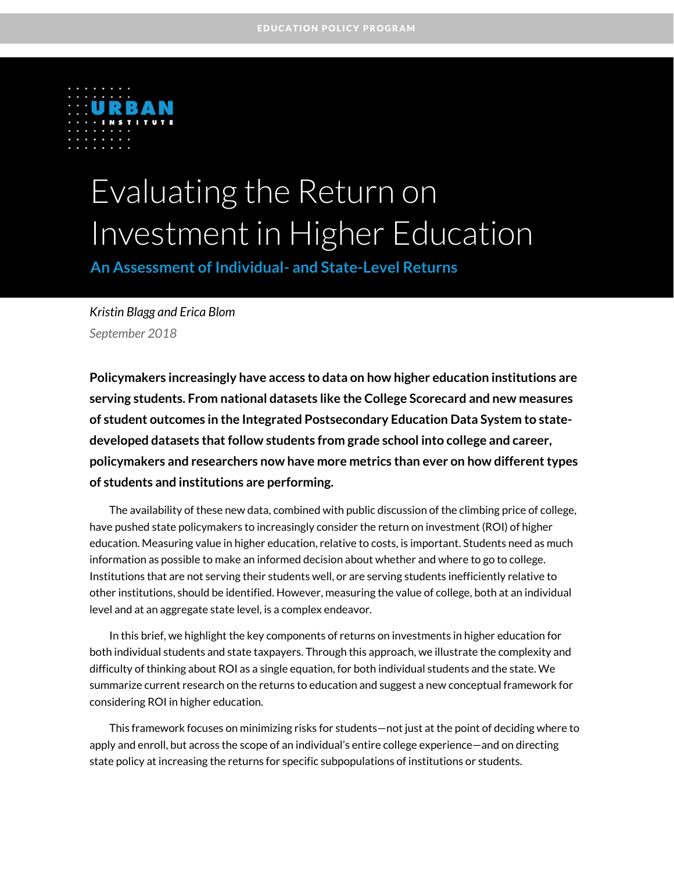

# Evaluating the Return on Investment in Higher Education

**An Assessment of Individual- and State-Level Returns** 

*Kristin Blagg and Erica Blom September 2018*

**Policymakers increasingly have access to data on how higher education institutions are serving students. From national datasets like the College Scorecard and new measures of student outcomes in the Integrated Postsecondary Education Data System to statedeveloped datasets that follow students from grade school into college and career, policymakers and researchers now have more metrics than ever on how different types of students and institutions are performing.** 

The availability of these new data, combined with public discussion of the climbing price of college, have pushed state policymakers to increasingly consider the return on investment (ROI) of higher education. Measuring value in higher education, relative to costs, is important. Students need as much information as possible to make an informed decision about whether and where to go to college. Institutions that are not serving their students well, or are serving students inefficiently relative to other institutions, should be identified. However, measuring the value of college, both at an individual level and at an aggregate state level, is a complex endeavor.

In this brief, we highlight the key components of returns on investments in higher education for both individual students and state taxpayers. Through this approach, we illustrate the complexity and difficulty of thinking about ROI as a single equation, for both individual students and the state. We summarize current research on the returns to education and suggest a new conceptual framework for considering ROI in higher education.

This framework focuses on minimizing risks for students—not just at the point of deciding where to apply and enroll, but across the scope of an individual's entire college experience—and on directing state policy at increasing the returns for specific subpopulations of institutions or students.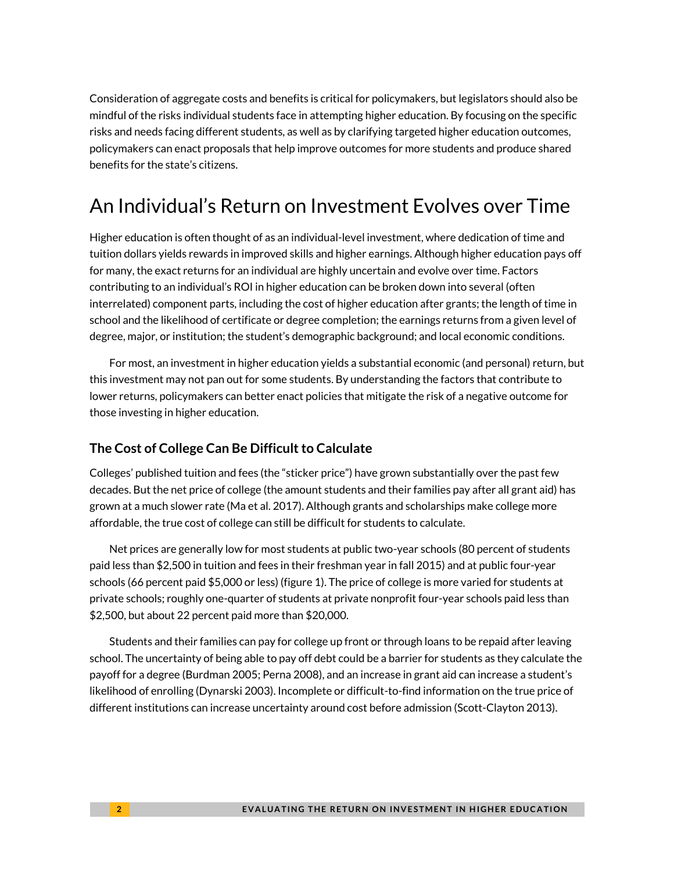Consideration of aggregate costs and benefits is critical for policymakers, but legislators should also be mindful of the risks individual students face in attempting higher education. By focusing on the specific risks and needs facing different students, as well as by clarifying targeted higher education outcomes, policymakers can enact proposals that help improve outcomes for more students and produce shared benefits for the state's citizens.

### An Individual's Return on Investment Evolves over Time

Higher education is often thought of as an individual-level investment, where dedication of time and tuition dollars yields rewards in improved skills and higher earnings. Although higher education pays off for many, the exact returns for an individual are highly uncertain and evolve over time. Factors contributing to an individual's ROI in higher education can be broken down into several (often interrelated) component parts, including the cost of higher education after grants; the length of time in school and the likelihood of certificate or degree completion; the earnings returns from a given level of degree, major, or institution; the student's demographic background; and local economic conditions.

For most, an investment in higher education yields a substantial economic (and personal) return, but this investment may not pan out for some students. By understanding the factors that contribute to lower returns, policymakers can better enact policies that mitigate the risk of a negative outcome for those investing in higher education.

### **The Cost of College Can Be Difficult to Calculate**

Colleges' published tuition and fees (the "sticker price") have grown substantially over the past few decades. But the net price of college (the amount students and their families pay after all grant aid) has grown at a much slower rate (Ma et al. 2017). Although grants and scholarships make college more affordable, the true cost of college can still be difficult for students to calculate.

Net prices are generally low for most students at public two-year schools (80 percent of students paid less than \$2,500 in tuition and fees in their freshman year in fall 2015) and at public four-year schools (66 percent paid \$5,000 or less) (figure 1). The price of college is more varied for students at private schools; roughly one-quarter of students at private nonprofit four-year schools paid less than \$2,500, but about 22 percent paid more than \$20,000.

Students and their families can pay for college up front or through loans to be repaid after leaving school. The uncertainty of being able to pay off debt could be a barrier for students as they calculate the payoff for a degree (Burdman 2005; Perna 2008), and an increase in grant aid can increase a student's likelihood of enrolling (Dynarski 2003). Incomplete or difficult-to-find information on the true price of different institutions can increase uncertainty around cost before admission (Scott-Clayton 2013).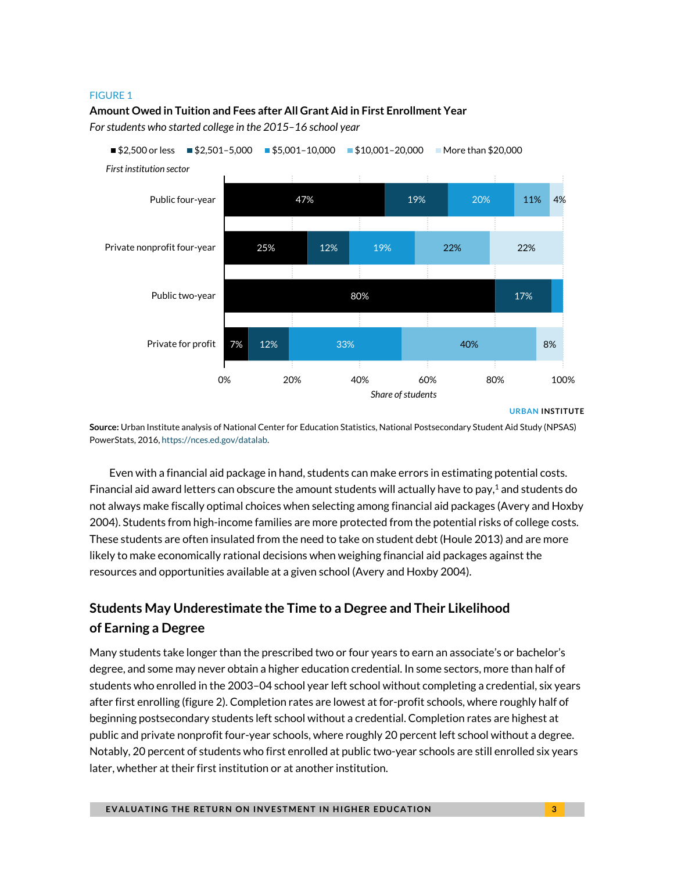### **Amount Owed in Tuition and Fees after All Grant Aid in First Enrollment Year**

*For students who started college in the 2015–16 school year*



**Source:** Urban Institute analysis of National Center for Education Statistics, National Postsecondary Student Aid Study (NPSAS) PowerStats, 2016[, https://nces.ed.gov/datalab.](https://nces.ed.gov/datalab)

Even with a financial aid package in hand, students can make errors in estimating potential costs. Financial aid award letters can obscure the amount students will actually have to pay, $^1$  and students do not always make fiscally optimal choices when selecting among financial aid packages (Avery and Hoxby 2004). Students from high-income families are more protected from the potential risks of college costs. These students are often insulated from the need to take on student debt (Houle 2013) and are more likely to make economically rational decisions when weighing financial aid packages against the resources and opportunities available at a given school (Avery and Hoxby 2004).

### **Students May Underestimate the Time to a Degree and Their Likelihood of Earning a Degree**

Many students take longer than the prescribed two or four years to earn an associate's or bachelor's degree, and some may never obtain a higher education credential. In some sectors, more than half of students who enrolled in the 2003–04 school year left school without completing a credential, six years after first enrolling (figure 2). Completion rates are lowest at for-profit schools, where roughly half of beginning postsecondary students left school without a credential. Completion rates are highest at public and private nonprofit four-year schools, where roughly 20 percent left school without a degree. Notably, 20 percent of students who first enrolled at public two-year schools are still enrolled six years later, whether at their first institution or at another institution.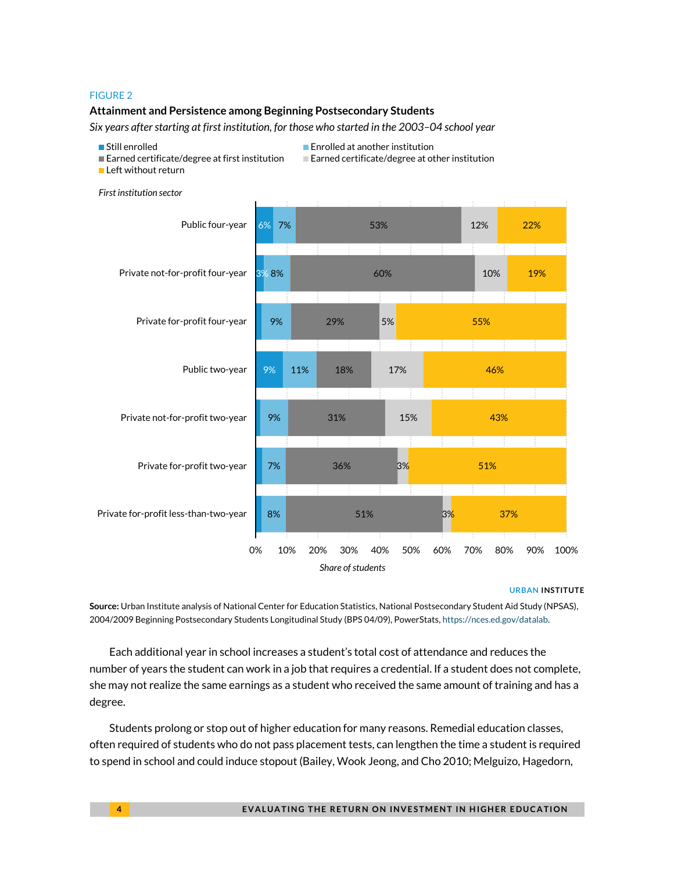### **Attainment and Persistence among Beginning Postsecondary Students**

*Six years after starting at first institution, for those who started in the 2003–04 school year*

- 
- Left without return

■ Still enrolled Enrolled at another institution

**Earned certificate/degree at first institution** Earned certificate/degree at other institution





**URBAN INSTITUTE**

**Source:** Urban Institute analysis of National Center for Education Statistics, National Postsecondary Student Aid Study (NPSAS), 2004/2009 Beginning Postsecondary Students Longitudinal Study (BPS 04/09), PowerStats, [https://nces.ed.gov/datalab.](https://nces.ed.gov/datalab)

Each additional year in school increases a student's total cost of attendance and reduces the number of years the student can work in a job that requires a credential. If a student does not complete, she may not realize the same earnings as a student who received the same amount of training and has a degree.

Students prolong or stop out of higher education for many reasons. Remedial education classes, often required of students who do not pass placement tests, can lengthen the time a student is required to spend in school and could induce stopout (Bailey, Wook Jeong, and Cho 2010; Melguizo, Hagedorn,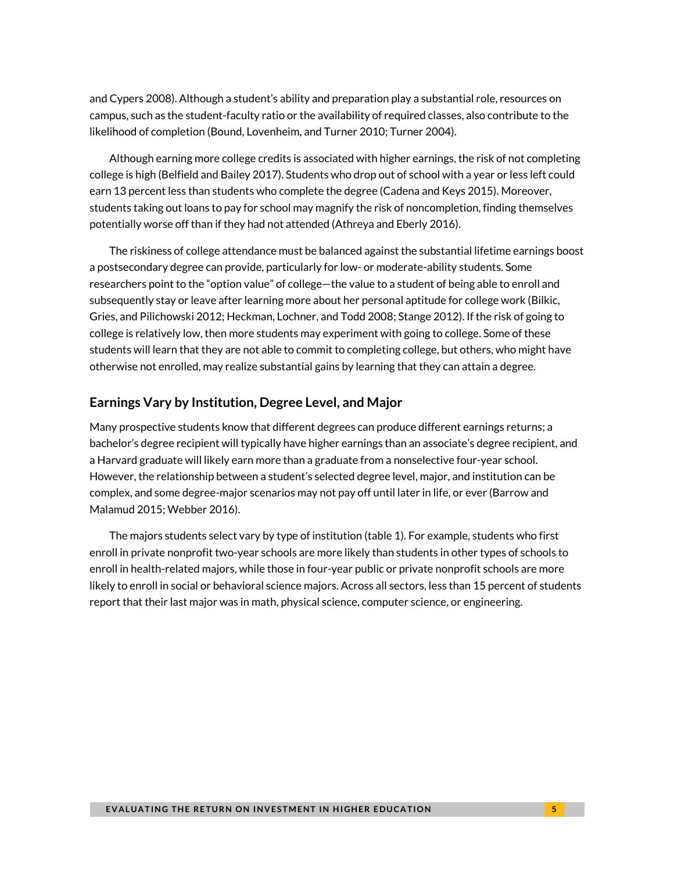and Cypers 2008). Although a student's ability and preparation play a substantial role, resources on campus, such as the student-faculty ratio or the availability of required classes, also contribute to the likelihood of completion (Bound, Lovenheim, and Turner 2010; Turner 2004).

Although earning more college credits is associated with higher earnings, the risk of not completing college is high (Belfield and Bailey 2017). Students who drop out of school with a year or less left could earn 13 percent less than students who complete the degree (Cadena and Keys 2015). Moreover, students taking out loans to pay for school may magnify the risk of noncompletion, finding themselves potentially worse off than if they had not attended (Athreya and Eberly 2016).

The riskiness of college attendance must be balanced against the substantial lifetime earnings boost a postsecondary degree can provide, particularly for low- or moderate-ability students. Some researchers point to the "option value" of college—the value to a student of being able to enroll and subsequently stay or leave after learning more about her personal aptitude for college work (Bilkic, Gries, and Pilichowski 2012; Heckman, Lochner, and Todd 2008; Stange 2012). If the risk of going to college is relatively low, then more students may experiment with going to college. Some of these students will learn that they are not able to commit to completing college, but others, who might have otherwise not enrolled, may realize substantial gains by learning that they can attain a degree.

### **Earnings Vary by Institution, Degree Level, and Major**

Many prospective students know that different degrees can produce different earnings returns; a bachelor's degree recipient will typically have higher earnings than an associate's degree recipient, and a Harvard graduate will likely earn more than a graduate from a nonselective four-year school. However, the relationship between a student's selected degree level, major, and institution can be complex, and some degree-major scenarios may not pay off until later in life, or ever (Barrow and Malamud 2015; Webber 2016).

The majors students select vary by type of institution (table 1). For example, students who first enroll in private nonprofit two-year schools are more likely than students in other types of schools to enroll in health-related majors, while those in four-year public or private nonprofit schools are more likely to enroll in social or behavioral science majors. Across all sectors, less than 15 percent of students report that their last major was in math, physical science, computer science, or engineering.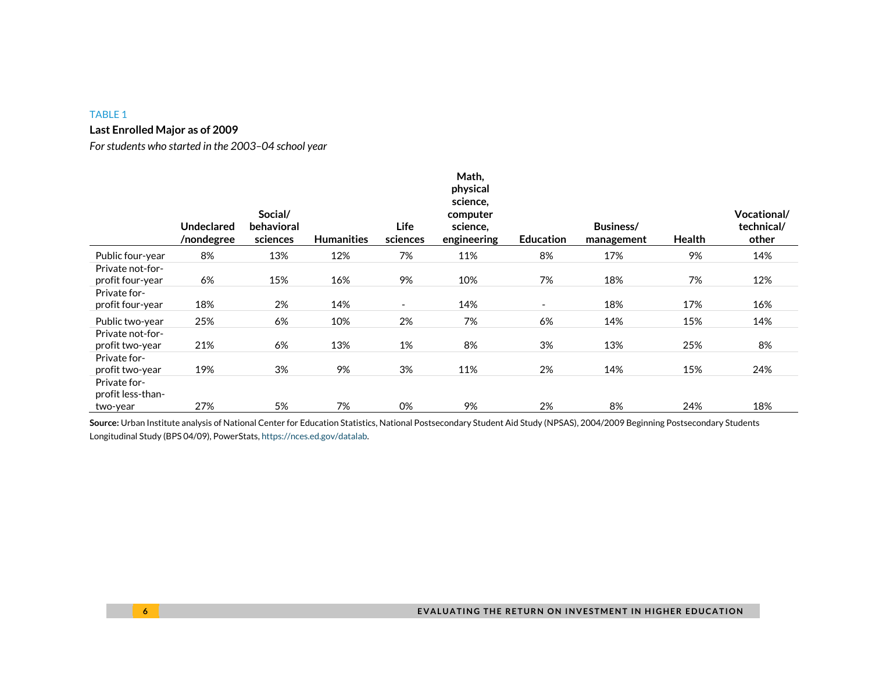### TABLE 1

### **Last Enrolled Major as of 2009**

*Forstudents who started in the 2003–04 school year*

|                                      | <b>Undeclared</b><br>/nondegree | Social/<br>behavioral<br>sciences | <b>Humanities</b> | Life<br>sciences         | Math,<br>physical<br>science,<br>computer<br>science,<br>engineering | <b>Education</b> | <b>Business/</b><br>management | Health | Vocational/<br>technical/<br>other |
|--------------------------------------|---------------------------------|-----------------------------------|-------------------|--------------------------|----------------------------------------------------------------------|------------------|--------------------------------|--------|------------------------------------|
| Public four-year                     | 8%                              | 13%                               | 12%               | 7%                       | 11%                                                                  | 8%               | 17%                            | 9%     | 14%                                |
| Private not-for-<br>profit four-year | 6%                              | 15%                               | 16%               | 9%                       | 10%                                                                  | 7%               | 18%                            | 7%     | 12%                                |
| Private for-<br>profit four-year     | 18%                             | 2%                                | 14%               | $\overline{\phantom{a}}$ | 14%                                                                  | $\sim$           | 18%                            | 17%    | 16%                                |
| Public two-year                      | 25%                             | 6%                                | 10%               | 2%                       | 7%                                                                   | 6%               | 14%                            | 15%    | 14%                                |
| Private not-for-<br>profit two-year  | 21%                             | 6%                                | 13%               | 1%                       | 8%                                                                   | 3%               | 13%                            | 25%    | 8%                                 |
| Private for-<br>profit two-year      | 19%                             | 3%                                | 9%                | 3%                       | 11%                                                                  | 2%               | 14%                            | 15%    | 24%                                |
| Private for-<br>profit less-than-    |                                 |                                   |                   |                          |                                                                      |                  |                                |        |                                    |
| two-year                             | 27%                             | 5%                                | 7%                | 0%                       | 9%                                                                   | 2%               | 8%                             | 24%    | 18%                                |

**Source:** Urban Institute analysis of National Center for Education Statistics, National Postsecondary Student Aid Study (NPSAS), 2004/2009 Beginning Postsecondary Students Longitudinal Study (BPS 04/09), PowerStats, [https://nces.ed.gov/datalab.](https://nces.ed.gov/datalab)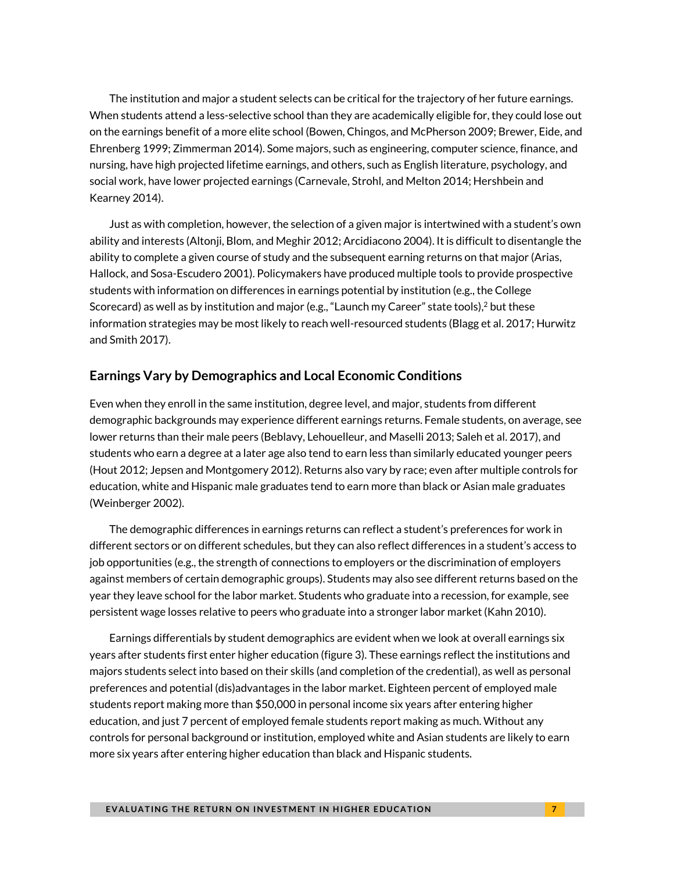The institution and major a student selects can be critical for the trajectory of her future earnings. When students attend a less-selective school than they are academically eligible for, they could lose out on the earnings benefit of a more elite school (Bowen, Chingos, and McPherson 2009; Brewer, Eide, and Ehrenberg 1999; Zimmerman 2014). Some majors, such as engineering, computer science, finance, and nursing, have high projected lifetime earnings, and others, such as English literature, psychology, and social work, have lower projected earnings (Carnevale, Strohl, and Melton 2014; Hershbein and Kearney 2014).

Just as with completion, however, the selection of a given major is intertwined with a student's own ability and interests (Altonji, Blom, and Meghir 2012; Arcidiacono 2004). It is difficult to disentangle the ability to complete a given course of study and the subsequent earning returns on that major (Arias, Hallock, and Sosa-Escudero 2001). Policymakers have produced multiple tools to provide prospective students with information on differences in earnings potential by institution (e.g., the College Scorecard) as well as by institution and major (e.g., "Launch my Career" state tools), $^2$  but these information strategies may be most likely to reach well-resourced students (Blagg et al. 2017; Hurwitz and Smith 2017).

### **Earnings Vary by Demographics and Local Economic Conditions**

Even when they enroll in the same institution, degree level, and major, students from different demographic backgrounds may experience different earnings returns. Female students, on average, see lower returns than their male peers (Beblavy, Lehouelleur, and Maselli 2013; Saleh et al. 2017), and students who earn a degree at a later age also tend to earn less than similarly educated younger peers (Hout 2012; Jepsen and Montgomery 2012). Returns also vary by race; even after multiple controls for education, white and Hispanic male graduates tend to earn more than black or Asian male graduates (Weinberger 2002).

The demographic differences in earnings returns can reflect a student's preferences for work in different sectors or on different schedules, but they can also reflect differences in a student's access to job opportunities (e.g., the strength of connections to employers or the discrimination of employers against members of certain demographic groups). Students may also see different returns based on the year they leave school for the labor market. Students who graduate into a recession, for example, see persistent wage losses relative to peers who graduate into a stronger labor market (Kahn 2010).

Earnings differentials by student demographics are evident when we look at overall earnings six years after students first enter higher education (figure 3). These earnings reflect the institutions and majors students select into based on their skills (and completion of the credential), as well as personal preferences and potential (dis)advantages in the labor market. Eighteen percent of employed male students report making more than \$50,000 in personal income six years after entering higher education, and just 7 percent of employed female students report making as much. Without any controls for personal background or institution, employed white and Asian students are likely to earn more six years after entering higher education than black and Hispanic students.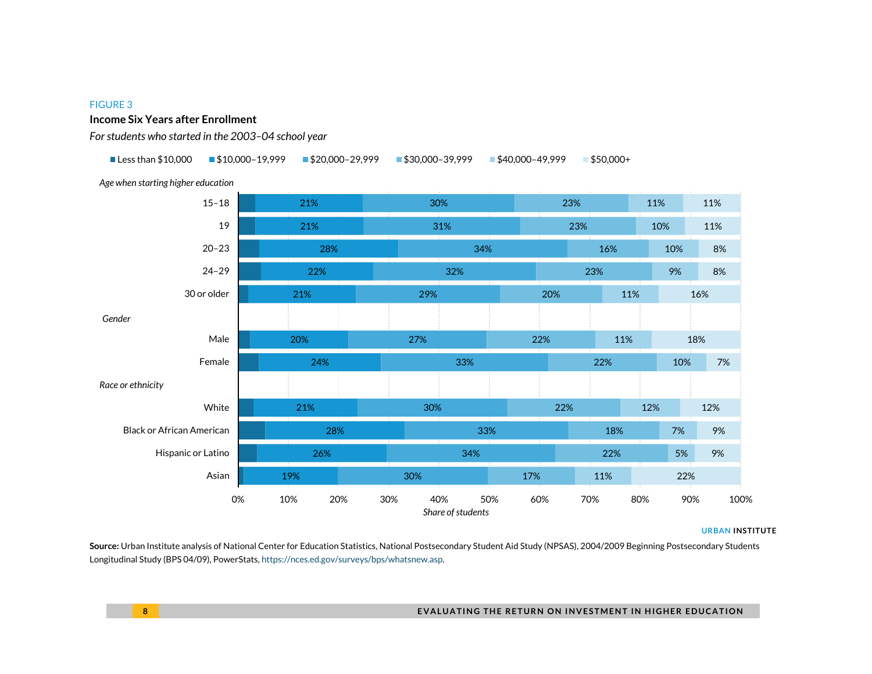### **Income Six Years after Enrollment**

*For students who started in the 2003–04 school year*

Less than \$10,000  $\blacksquare$ \$10,000-19,999  $\blacksquare$ \$20,000-29,999  $\blacksquare$ \$30,000-39,999  $\blacksquare$ \$40,000-49,999  $\blacksquare$ \$50,000+

| Age when starting higher education |  |  |
|------------------------------------|--|--|



**URBAN INSTITUTE**

**Source:** Urban Institute analysis of National Center for Education Statistics, National Postsecondary Student Aid Study (NPSAS), 2004/2009 Beginning Postsecondary Students Longitudinal Study (BPS 04/09), PowerStats, [https://nces.ed.gov/surveys/bps/whatsnew.asp.](https://nces.ed.gov/surveys/bps/whatsnew.asp)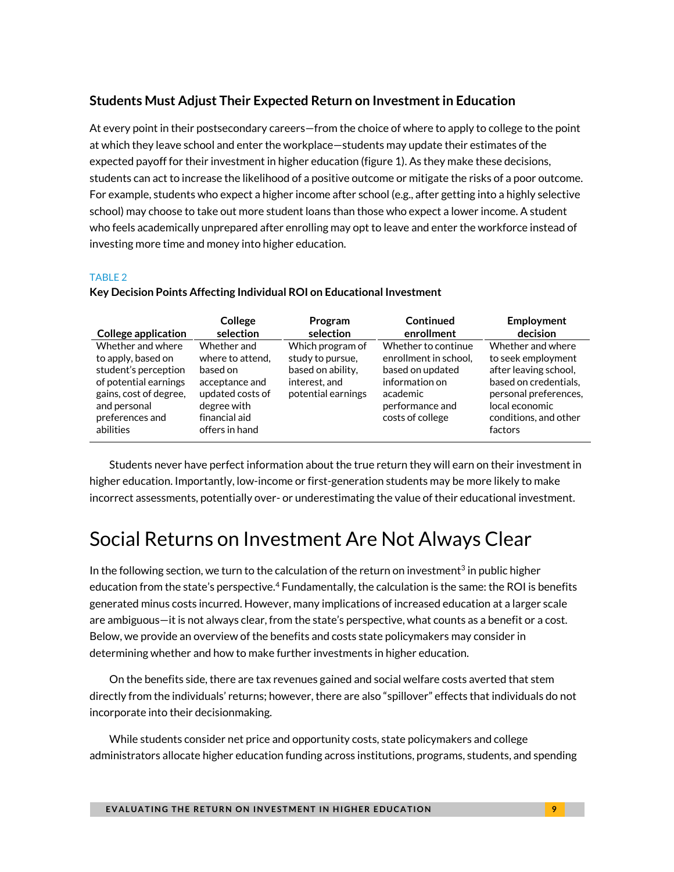### **Students Must Adjust Their Expected Return on Investment in Education**

At every point in their postsecondary careers—from the choice of where to apply to college to the point at which they leave school and enter the workplace—students may update their estimates of the expected payoff for their investment in higher education (figure 1). As they make these decisions, students can act to increase the likelihood of a positive outcome or mitigate the risks of a poor outcome. For example, students who expect a higher income after school (e.g., after getting into a highly selective school) may choose to take out more student loans than those who expect a lower income. A student who feels academically unprepared after enrolling may opt to leave and enter the workforce instead of investing more time and money into higher education.

### TABLE 2

| <b>College application</b>                                                                                                                                         | College                                                                                                                             | Program                                                                                          | Continued                                                                                                                             | Employment                                                                                                                                                               |
|--------------------------------------------------------------------------------------------------------------------------------------------------------------------|-------------------------------------------------------------------------------------------------------------------------------------|--------------------------------------------------------------------------------------------------|---------------------------------------------------------------------------------------------------------------------------------------|--------------------------------------------------------------------------------------------------------------------------------------------------------------------------|
|                                                                                                                                                                    | selection                                                                                                                           | selection                                                                                        | enrollment                                                                                                                            | decision                                                                                                                                                                 |
| Whether and where<br>to apply, based on<br>student's perception<br>of potential earnings<br>gains, cost of degree,<br>and personal<br>preferences and<br>abilities | Whether and<br>where to attend,<br>based on<br>acceptance and<br>updated costs of<br>degree with<br>financial aid<br>offers in hand | Which program of<br>study to pursue,<br>based on ability,<br>interest, and<br>potential earnings | Whether to continue<br>enrollment in school,<br>based on updated<br>information on<br>academic<br>performance and<br>costs of college | Whether and where<br>to seek employment<br>after leaving school,<br>based on credentials.<br>personal preferences,<br>local economic<br>conditions, and other<br>factors |

### **Key Decision Points Affecting Individual ROI on Educational Investment**

Students never have perfect information about the true return they will earn on their investment in higher education. Importantly, low-income or first-generation students may be more likely to make incorrect assessments, potentially over- or underestimating the value of their educational investment.

## Social Returns on Investment Are Not Always Clear

In the following section, we turn to the calculation of the return on investment<sup>3</sup> in public higher education from the state's perspective.<sup>4</sup> Fundamentally, the calculation is the same: the ROI is benefits generated minus costs incurred. However, many implications of increased education at a larger scale are ambiguous—it is not always clear, from the state's perspective, what counts as a benefit or a cost. Below, we provide an overview of the benefits and costs state policymakers may consider in determining whether and how to make further investments in higher education.

On the benefits side, there are tax revenues gained and social welfare costs averted that stem directly from the individuals' returns; however, there are also "spillover" effects that individuals do not incorporate into their decisionmaking.

While students consider net price and opportunity costs, state policymakers and college administrators allocate higher education funding across institutions, programs, students, and spending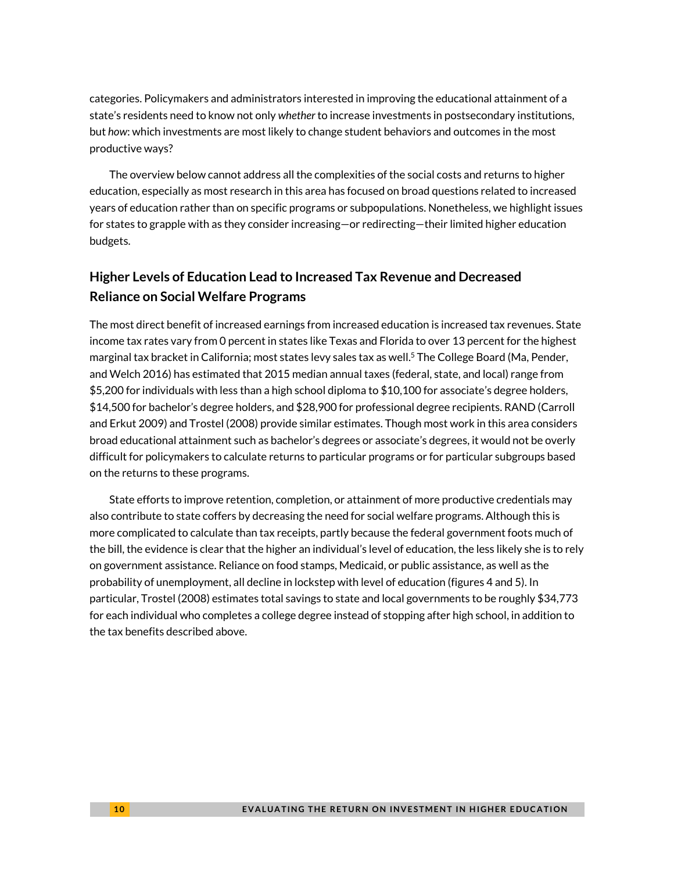categories. Policymakers and administrators interested in improving the educational attainment of a state's residents need to know not only *whether* to increase investments in postsecondary institutions, but *how*: which investments are most likely to change student behaviors and outcomes in the most productive ways?

The overview below cannot address all the complexities of the social costs and returns to higher education, especially as most research in this area has focused on broad questions related to increased years of education rather than on specific programs or subpopulations. Nonetheless, we highlight issues for states to grapple with as they consider increasing—or redirecting—their limited higher education budgets.

### **Higher Levels of Education Lead to Increased Tax Revenue and Decreased Reliance on Social Welfare Programs**

The most direct benefit of increased earnings from increased education is increased tax revenues. State income tax rates vary from 0 percent in states like Texas and Florida to over 13 percent for the highest marginal tax bracket in California; most states levy sales tax as well. <sup>5</sup> The College Board (Ma, Pender, and Welch 2016) has estimated that 2015 median annual taxes (federal, state, and local) range from \$5,200 for individuals with less than a high school diploma to \$10,100 for associate's degree holders, \$14,500 for bachelor's degree holders, and \$28,900 for professional degree recipients. RAND (Carroll and Erkut 2009) and Trostel (2008) provide similar estimates. Though most work in this area considers broad educational attainment such as bachelor's degrees or associate's degrees, it would not be overly difficult for policymakers to calculate returns to particular programs or for particular subgroups based on the returns to these programs.

State efforts to improve retention, completion, or attainment of more productive credentials may also contribute to state coffers by decreasing the need for social welfare programs. Although this is more complicated to calculate than tax receipts, partly because the federal government foots much of the bill, the evidence is clear that the higher an individual's level of education, the less likely she is to rely on government assistance. Reliance on food stamps, Medicaid, or public assistance, as well as the probability of unemployment, all decline in lockstep with level of education (figures 4 and 5). In particular, Trostel (2008) estimates total savings to state and local governments to be roughly \$34,773 for each individual who completes a college degree instead of stopping after high school, in addition to the tax benefits described above.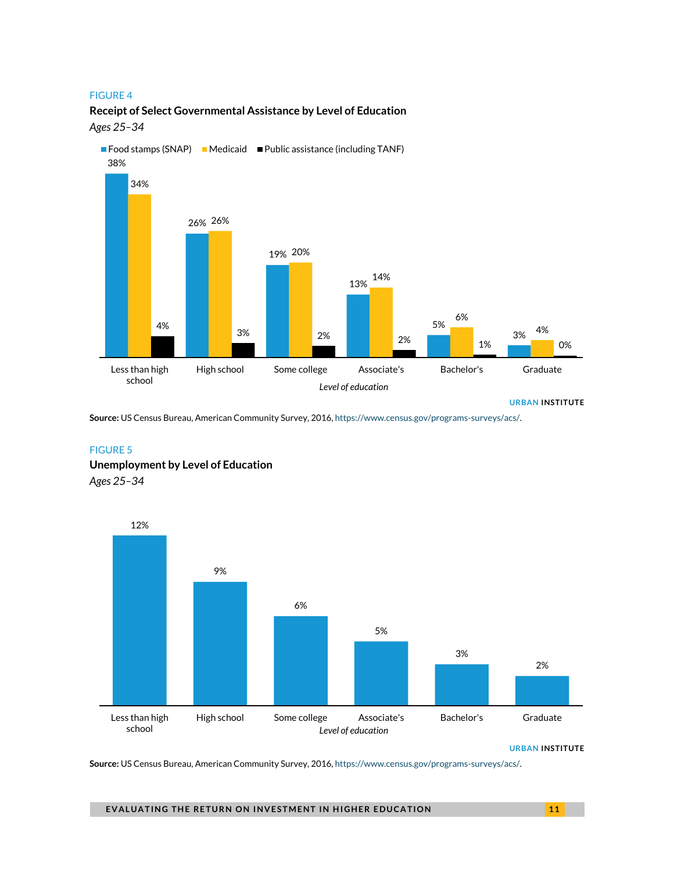### **Receipt of Select Governmental Assistance by Level of Education** *Ages 25–34*



**Source:** US Census Bureau, American Community Survey, 2016[, https://www.census.gov/programs-surveys/acs/.](https://www.census.gov/programs-surveys/acs/)

### FIGURE 5 **Unemployment by Level of Education**

*Ages 25–34*



**URBAN INSTITUTE**

**Source:** US Census Bureau, American Community Survey, 2016[, https://www.census.gov/programs-surveys/acs/.](https://www.census.gov/programs-surveys/acs/)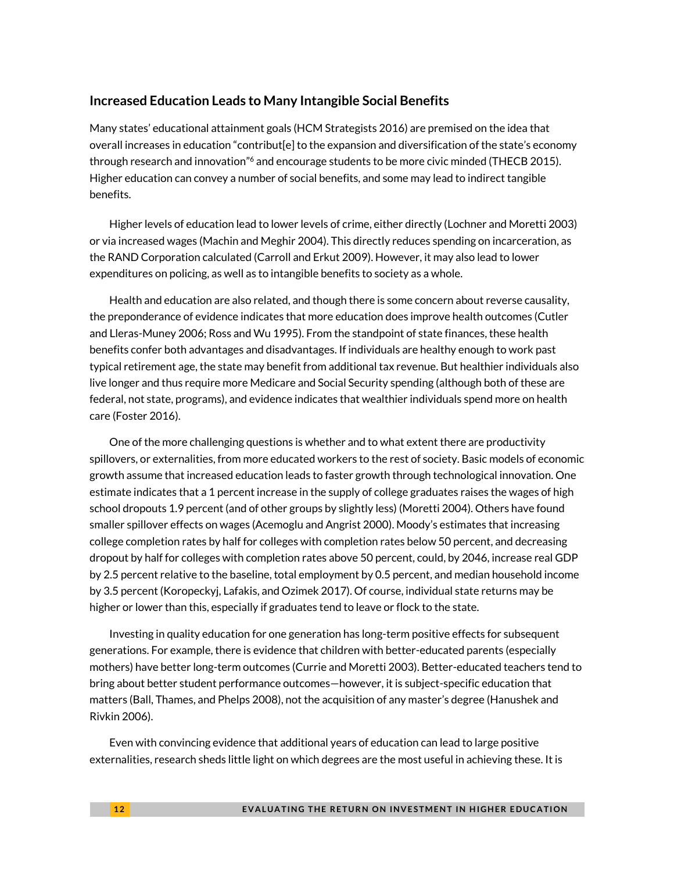### **Increased Education Leads to Many Intangible Social Benefits**

Many states' educational attainment goals (HCM Strategists 2016) are premised on the idea that overall increases in education "contribut[e] to the expansion and diversification of the state's economy through research and innovation"<sup>6</sup> and encourage students to be more civic minded (THECB 2015). Higher education can convey a number of social benefits, and some may lead to indirect tangible benefits.

Higher levels of education lead to lower levels of crime, either directly (Lochner and Moretti 2003) or via increased wages (Machin and Meghir 2004). This directly reduces spending on incarceration, as the RAND Corporation calculated (Carroll and Erkut 2009). However, it may also lead to lower expenditures on policing, as well as to intangible benefits to society as a whole.

Health and education are also related, and though there is some concern about reverse causality, the preponderance of evidence indicates that more education does improve health outcomes (Cutler and Lleras-Muney 2006; Ross and Wu 1995). From the standpoint of state finances, these health benefits confer both advantages and disadvantages. If individuals are healthy enough to work past typical retirement age, the state may benefit from additional tax revenue. But healthier individuals also live longer and thus require more Medicare and Social Security spending (although both of these are federal, not state, programs), and evidence indicates that wealthier individuals spend more on health care (Foster 2016).

One of the more challenging questions is whether and to what extent there are productivity spillovers, or externalities, from more educated workers to the rest of society. Basic models of economic growth assume that increased education leads to faster growth through technological innovation. One estimate indicates that a 1 percent increase in the supply of college graduates raises the wages of high school dropouts 1.9 percent (and of other groups by slightly less) (Moretti 2004). Others have found smaller spillover effects on wages (Acemoglu and Angrist 2000). Moody's estimates that increasing college completion rates by half for colleges with completion rates below 50 percent, and decreasing dropout by half for colleges with completion rates above 50 percent, could, by 2046, increase real GDP by 2.5 percent relative to the baseline, total employment by 0.5 percent, and median household income by 3.5 percent (Koropeckyj, Lafakis, and Ozimek 2017). Of course, individual state returns may be higher or lower than this, especially if graduates tend to leave or flock to the state.

Investing in quality education for one generation has long-term positive effects for subsequent generations. For example, there is evidence that children with better-educated parents (especially mothers) have better long-term outcomes (Currie and Moretti 2003). Better-educated teachers tend to bring about better student performance outcomes—however, it is subject-specific education that matters (Ball, Thames, and Phelps 2008), not the acquisition of any master's degree (Hanushek and Rivkin 2006).

Even with convincing evidence that additional years of education can lead to large positive externalities, research sheds little light on which degrees are the most useful in achieving these. It is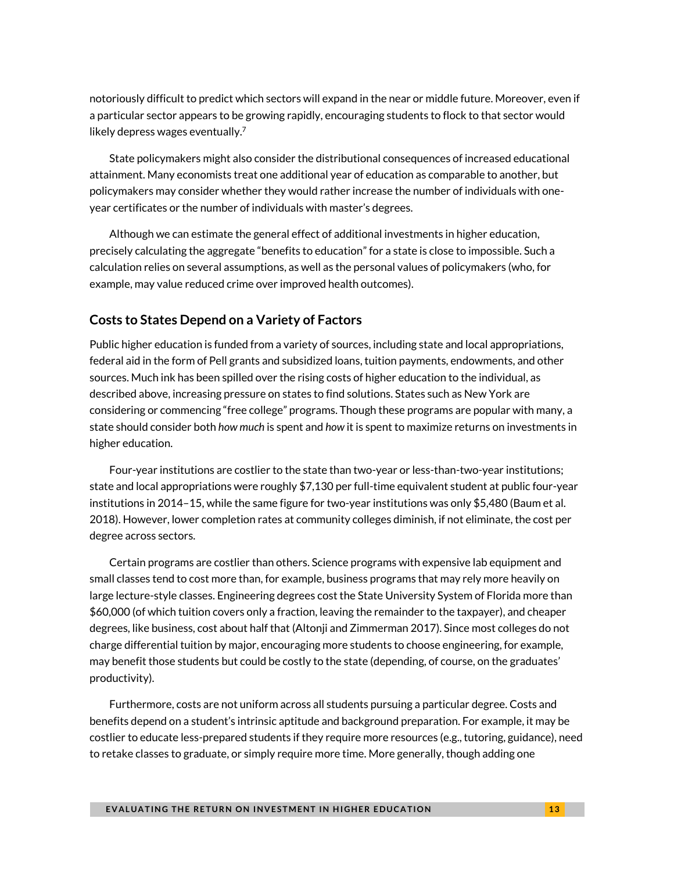notoriously difficult to predict which sectors will expand in the near or middle future. Moreover, even if a particular sector appears to be growing rapidly, encouraging students to flock to that sector would likely depress wages eventually.<sup>7</sup>

State policymakers might also consider the distributional consequences of increased educational attainment. Many economists treat one additional year of education as comparable to another, but policymakers may consider whether they would rather increase the number of individuals with oneyear certificates or the number of individuals with master's degrees.

Although we can estimate the general effect of additional investments in higher education, precisely calculating the aggregate "benefits to education" for a state is close to impossible. Such a calculation relies on several assumptions, as well as the personal values of policymakers (who, for example, may value reduced crime over improved health outcomes).

### **Costs to States Depend on a Variety of Factors**

Public higher education is funded from a variety of sources, including state and local appropriations, federal aid in the form of Pell grants and subsidized loans, tuition payments, endowments, and other sources. Much ink has been spilled over the rising costs of higher education to the individual, as described above, increasing pressure on states to find solutions. States such as New York are considering or commencing "free college" programs. Though these programs are popular with many, a state should consider both *how much* is spent and *how* it is spent to maximize returns on investments in higher education.

Four-year institutions are costlier to the state than two-year or less-than-two-year institutions; state and local appropriations were roughly \$7,130 per full-time equivalent student at public four-year institutions in 2014–15, while the same figure for two-year institutions was only \$5,480 (Baum et al. 2018). However, lower completion rates at community colleges diminish, if not eliminate, the cost per degree across sectors.

Certain programs are costlier than others. Science programs with expensive lab equipment and small classes tend to cost more than, for example, business programs that may rely more heavily on large lecture-style classes. Engineering degrees cost the State University System of Florida more than \$60,000 (of which tuition covers only a fraction, leaving the remainder to the taxpayer), and cheaper degrees, like business, cost about half that (Altonji and Zimmerman 2017). Since most colleges do not charge differential tuition by major, encouraging more students to choose engineering, for example, may benefit those students but could be costly to the state (depending, of course, on the graduates' productivity).

Furthermore, costs are not uniform across all students pursuing a particular degree. Costs and benefits depend on a student's intrinsic aptitude and background preparation. For example, it may be costlier to educate less-prepared students if they require more resources (e.g., tutoring, guidance), need to retake classes to graduate, or simply require more time. More generally, though adding one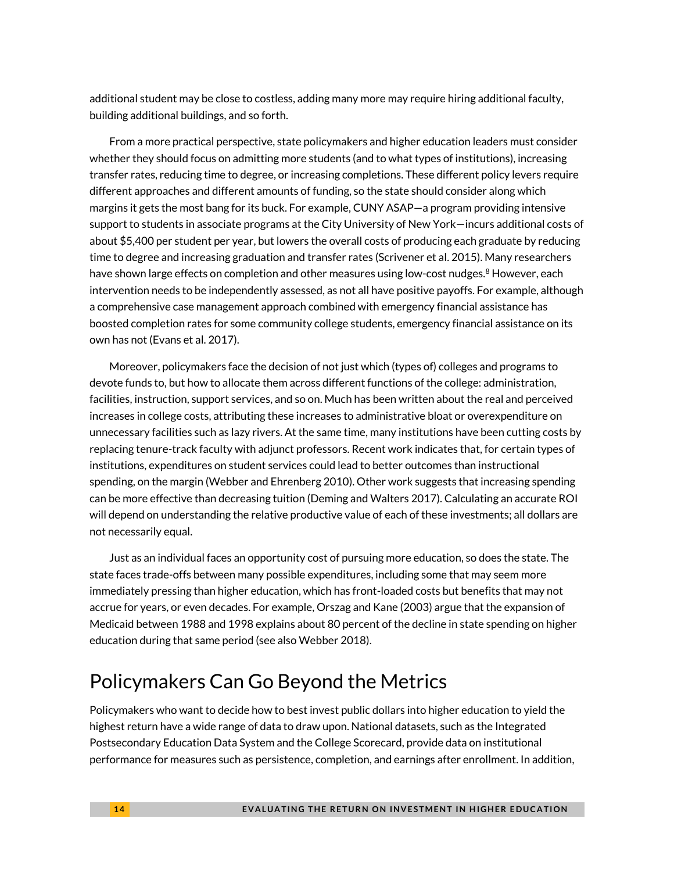additional student may be close to costless, adding many more may require hiring additional faculty, building additional buildings, and so forth.

From a more practical perspective, state policymakers and higher education leaders must consider whether they should focus on admitting more students (and to what types of institutions), increasing transfer rates, reducing time to degree, or increasing completions. These different policy levers require different approaches and different amounts of funding, so the state should consider along which margins it gets the most bang for its buck. For example, CUNY ASAP—a program providing intensive support to students in associate programs at the City University of New York—incurs additional costs of about \$5,400 per student per year, but lowers the overall costs of producing each graduate by reducing time to degree and increasing graduation and transfer rates (Scrivener et al. 2015). Many researchers have shown large effects on completion and other measures usin[g low-cost nudges.](https://www.air.org/edsector-archives/publications/nudge-nation-new-way-prod-students-and-through-college)<sup>8</sup> However, each intervention needs to be independently assessed, as not all have positive payoffs. For example, although a comprehensive case management approach combined with emergency financial assistance has boosted completion rates for some community college students, emergency financial assistance on its own has not (Evans et al. 2017).

Moreover, policymakers face the decision of not just which (types of) colleges and programs to devote funds to, but how to allocate them across different functions of the college: administration, facilities, instruction, support services, and so on. Much has been written about the real and perceived increases in college costs, attributing these increases to administrative bloat or overexpenditure on unnecessary facilities such as lazy rivers. At the same time, many institutions have been cutting costs by replacing tenure-track faculty with adjunct professors. Recent work indicates that, for certain types of institutions, expenditures on student services could lead to better outcomes than instructional spending, on the margin (Webber and Ehrenberg 2010). Other work suggests that increasing spending can be more effective than decreasing tuition (Deming and Walters 2017). Calculating an accurate ROI will depend on understanding the relative productive value of each of these investments; all dollars are not necessarily equal.

Just as an individual faces an opportunity cost of pursuing more education, so does the state. The state faces trade-offs between many possible expenditures, including some that may seem more immediately pressing than higher education, which has front-loaded costs but benefits that may not accrue for years, or even decades. For example, Orszag and Kane (2003) argue that the expansion of Medicaid between 1988 and 1998 explains about 80 percent of the decline in state spending on higher education during that same period (see also Webber 2018).

### Policymakers Can Go Beyond the Metrics

Policymakers who want to decide how to best invest public dollars into higher education to yield the highest return have a wide range of data to draw upon. National datasets, such as the Integrated Postsecondary Education Data System and the College Scorecard, provide data on institutional performance for measures such as persistence, completion, and earnings after enrollment. In addition,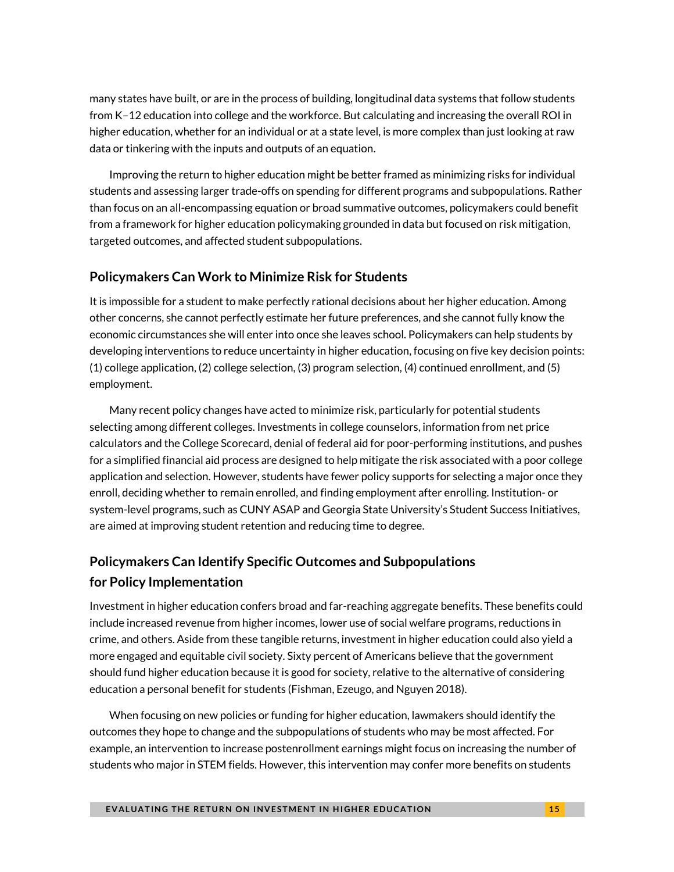many states have built, or are in the process of building, longitudinal data systems that follow students from K–12 education into college and the workforce. But calculating and increasing the overall ROI in higher education, whether for an individual or at a state level, is more complex than just looking at raw data or tinkering with the inputs and outputs of an equation.

Improving the return to higher education might be better framed as minimizing risks for individual students and assessing larger trade-offs on spending for different programs and subpopulations. Rather than focus on an all-encompassing equation or broad summative outcomes, policymakers could benefit from a framework for higher education policymaking grounded in data but focused on risk mitigation, targeted outcomes, and affected student subpopulations.

### **Policymakers Can Work to Minimize Risk for Students**

It is impossible for a student to make perfectly rational decisions about her higher education. Among other concerns, she cannot perfectly estimate her future preferences, and she cannot fully know the economic circumstances she will enter into once she leaves school. Policymakers can help students by developing interventions to reduce uncertainty in higher education, focusing on five key decision points: (1) college application, (2) college selection, (3) program selection, (4) continued enrollment, and (5) employment.

Many recent policy changes have acted to minimize risk, particularly for potential students selecting among different colleges. Investments in college counselors, information from net price calculators and the College Scorecard, denial of federal aid for poor-performing institutions, and pushes for a simplified financial aid process are designed to help mitigate the risk associated with a poor college application and selection. However, students have fewer policy supports for selecting a major once they enroll, deciding whether to remain enrolled, and finding employment after enrolling. Institution- or system-level programs, such as CUNY ASAP and Georgia State University's Student Success Initiatives, are aimed at improving student retention and reducing time to degree.

### **Policymakers Can Identify Specific Outcomes and Subpopulations for Policy Implementation**

Investment in higher education confers broad and far-reaching aggregate benefits. These benefits could include increased revenue from higher incomes, lower use of social welfare programs, reductions in crime, and others. Aside from these tangible returns, investment in higher education could also yield a more engaged and equitable civil society. Sixty percent of Americans believe that the government should fund higher education because it is good for society, relative to the alternative of considering education a personal benefit for students (Fishman, Ezeugo, and Nguyen 2018).

When focusing on new policies or funding for higher education, lawmakers should identify the outcomes they hope to change and the subpopulations of students who may be most affected. For example, an intervention to increase postenrollment earnings might focus on increasing the number of students who major in STEM fields. However, this intervention may confer more benefits on students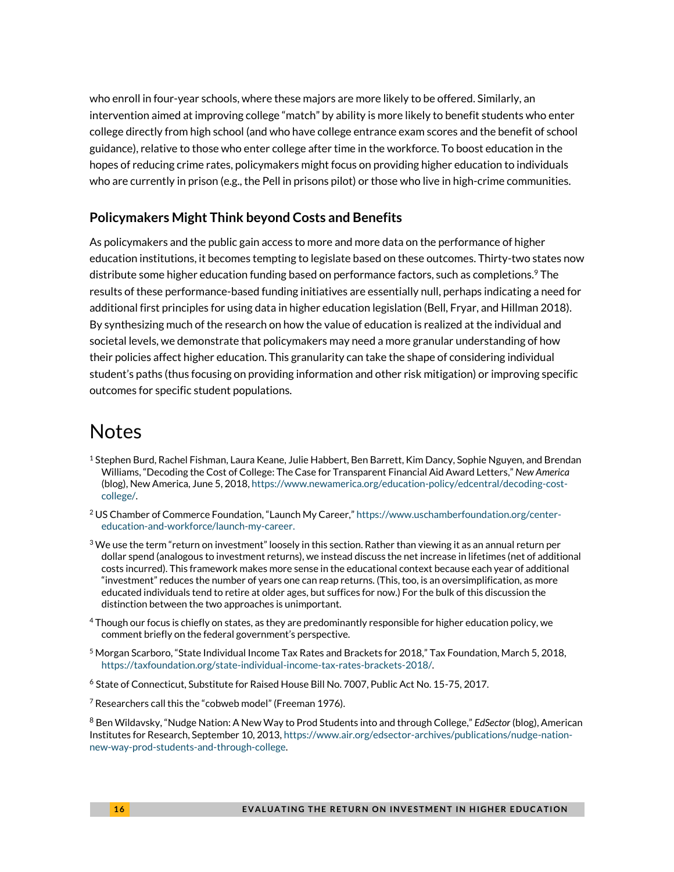who enroll in four-year schools, where these majors are more likely to be offered. Similarly, an intervention aimed at improving college "match" by ability is more likely to benefit students who enter college directly from high school (and who have college entrance exam scores and the benefit of school guidance), relative to those who enter college after time in the workforce. To boost education in the hopes of reducing crime rates, policymakers might focus on providing higher education to individuals who are currently in prison (e.g., the Pell in prisons pilot) or those who live in high-crime communities.

### **Policymakers Might Think beyond Costs and Benefits**

As policymakers and the public gain access to more and more data on the performance of higher education institutions, it becomes tempting to legislate based on these outcomes. Thirty-two states now distribute some higher education funding based on performance factors, such as completions.<sup>9</sup> The results of these performance-based funding initiatives are essentially null, perhaps indicating a need for additional first principles for using data in higher education legislation (Bell, Fryar, and Hillman 2018). By synthesizing much of the research on how the value of education is realized at the individual and societal levels, we demonstrate that policymakers may need a more granular understanding of how their policies affect higher education. This granularity can take the shape of considering individual student's paths (thus focusing on providing information and other risk mitigation) or improving specific outcomes for specific student populations.

### Notes

- <sup>1</sup> Stephen Burd, Rachel Fishman, Laura Keane, Julie Habbert, Ben Barrett, Kim Dancy, Sophie Nguyen, and Brendan Williams, "Decoding the Cost of College: The Case for Transparent Financial Aid Award Letters," *New America* (blog), New America, June 5, 2018[, https://www.newamerica.org/education-policy/edcentral/decoding-cost](https://www.newamerica.org/education-policy/edcentral/decoding-cost-college/)[college/.](https://www.newamerica.org/education-policy/edcentral/decoding-cost-college/)
- <sup>2</sup> US Chamber of Commerce Foundation, "Launch My Career," [https://www.uschamberfoundation.org/center](https://www.uschamberfoundation.org/center-education-and-workforce/launch-my-career)[education-and-workforce/launch-my-career.](https://www.uschamberfoundation.org/center-education-and-workforce/launch-my-career)
- <sup>3</sup> We use the term "return on investment" loosely in this section. Rather than viewing it as an annual return per dollar spend (analogous to investment returns), we instead discuss the net increase in lifetimes (net of additional costs incurred). This framework makes more sense in the educational context because each year of additional "investment" reduces the number of years one can reap returns. (This, too, is an oversimplification, as more educated individuals tend to retire at older ages, but suffices for now.) For the bulk of this discussion the distinction between the two approaches is unimportant.
- <sup>4</sup> Though our focus is chiefly on states, as they are predominantly responsible for higher education policy, we comment briefly on the federal government's perspective.
- <sup>5</sup> Morgan Scarboro, "State Individual Income Tax Rates and Brackets for 2018," Tax Foundation, March 5, 2018, [https://taxfoundation.org/state-individual-income-tax-rates-brackets-2018/.](https://taxfoundation.org/state-individual-income-tax-rates-brackets-2018/)
- <sup>6</sup> State of Connecticut, Substitute for Raised House Bill No. 7007, Public Act No. 15-75, 2017.

 $7$  Researchers call this the "cobweb model" (Freeman 1976).

<sup>8</sup> Ben Wildavsky, "Nudge Nation: A New Way to Prod Students into and through College," *EdSector* (blog), American Institutes for Research, September 10, 2013[, https://www.air.org/edsector-archives/publications/nudge-nation](https://www.air.org/edsector-archives/publications/nudge-nation-new-way-prod-students-and-through-college)[new-way-prod-students-and-through-college.](https://www.air.org/edsector-archives/publications/nudge-nation-new-way-prod-students-and-through-college)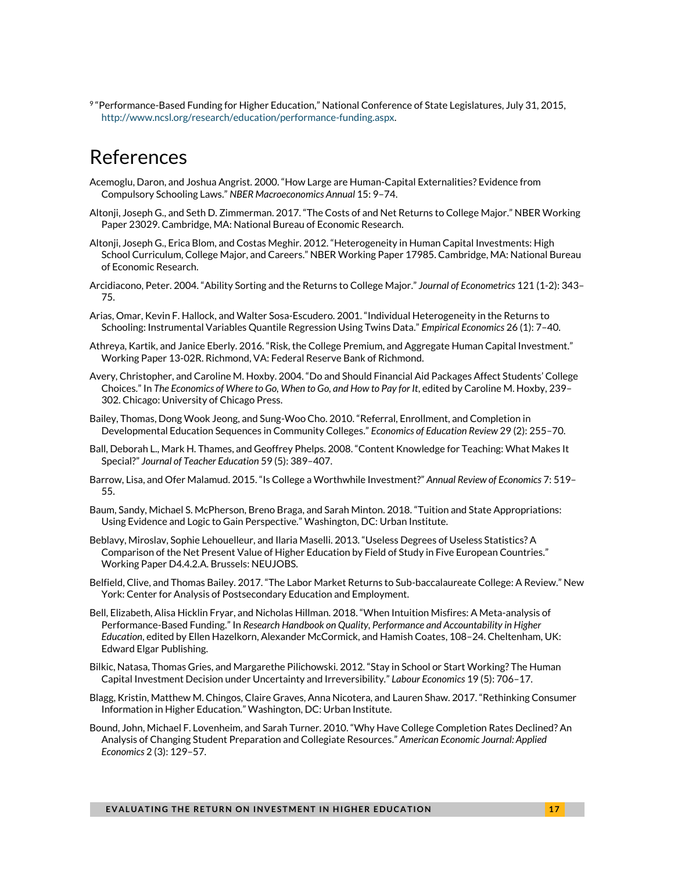9 "Performance-Based Funding for Higher Education," National Conference of State Legislatures, July 31, 2015, [http://www.ncsl.org/research/education/performance-funding.aspx.](http://www.ncsl.org/research/education/performance-funding.aspx)

### References

- Acemoglu, Daron, and Joshua Angrist. 2000. "How Large are Human-Capital Externalities? Evidence from Compulsory Schooling Laws." *NBER Macroeconomics Annual* 15: 9–74.
- Altonji, Joseph G., and Seth D. Zimmerman. 2017. "The Costs of and Net Returns to College Major." NBER Working Paper 23029. Cambridge, MA: National Bureau of Economic Research.
- Altonji, Joseph G., Erica Blom, and Costas Meghir. 2012. "Heterogeneity in Human Capital Investments: High School Curriculum, College Major, and Careers." NBER Working Paper 17985. Cambridge, MA: National Bureau of Economic Research.
- Arcidiacono, Peter. 2004. "Ability Sorting and the Returns to College Major." *Journal of Econometrics* 121 (1-2): 343– 75.
- Arias, Omar, Kevin F. Hallock, and Walter Sosa-Escudero. 2001. "Individual Heterogeneity in the Returns to Schooling: Instrumental Variables Quantile Regression Using Twins Data." *Empirical Economics* 26 (1): 7–40.
- Athreya, Kartik, and Janice Eberly. 2016. "Risk, the College Premium, and Aggregate Human Capital Investment." Working Paper 13-02R. Richmond, VA: Federal Reserve Bank of Richmond.
- Avery, Christopher, and Caroline M. Hoxby. 2004. "Do and Should Financial Aid Packages Affect Students' College Choices." In *The Economics of Where to Go, When to Go, and How to Pay for It*, edited by Caroline M. Hoxby, 239– 302. Chicago: University of Chicago Press.
- Bailey, Thomas, Dong Wook Jeong, and Sung-Woo Cho. 2010. "Referral, Enrollment, and Completion in Developmental Education Sequences in Community Colleges." *Economics of Education Review* 29 (2): 255–70.
- Ball, Deborah L., Mark H. Thames, and Geoffrey Phelps. 2008. "Content Knowledge for Teaching: What Makes It Special?" *Journal of Teacher Education* 59 (5): 389–407.
- Barrow, Lisa, and Ofer Malamud. 2015. "Is College a Worthwhile Investment?" *Annual Review of Economics* 7: 519– 55.
- Baum, Sandy, Michael S. McPherson, Breno Braga, and Sarah Minton. 2018. "Tuition and State Appropriations: Using Evidence and Logic to Gain Perspective*.*" Washington, DC: Urban Institute.
- Beblavy, Miroslav, Sophie Lehouelleur, and Ilaria Maselli. 2013. "Useless Degrees of Useless Statistics? A Comparison of the Net Present Value of Higher Education by Field of Study in Five European Countries." Working Paper D4.4.2.A. Brussels: NEUJOBS.
- Belfield, Clive, and Thomas Bailey. 2017. "The Labor Market Returns to Sub-baccalaureate College: A Review." New York: Center for Analysis of Postsecondary Education and Employment.
- Bell, Elizabeth, Alisa Hicklin Fryar, and Nicholas Hillman. 2018. "When Intuition Misfires: A Meta-analysis of Performance-Based Funding." In *Research Handbook on Quality, Performance and Accountability in Higher Education*, edited by Ellen Hazelkorn, Alexander McCormick, and Hamish Coates, 108–24. Cheltenham, UK: Edward Elgar Publishing.
- Bilkic, Natasa, Thomas Gries, and Margarethe Pilichowski. 2012. "Stay in School or Start Working? The Human Capital Investment Decision under Uncertainty and Irreversibility*.*" *Labour Economics* 19 (5): 706–17.
- Blagg, Kristin, Matthew M. Chingos, Claire Graves, Anna Nicotera, and Lauren Shaw. 2017. "Rethinking Consumer Information in Higher Education*.*" Washington, DC: Urban Institute.
- Bound, John, Michael F. Lovenheim, and Sarah Turner. 2010. "Why Have College Completion Rates Declined? An Analysis of Changing Student Preparation and Collegiate Resources." *American Economic Journal: Applied Economics* 2 (3): 129–57.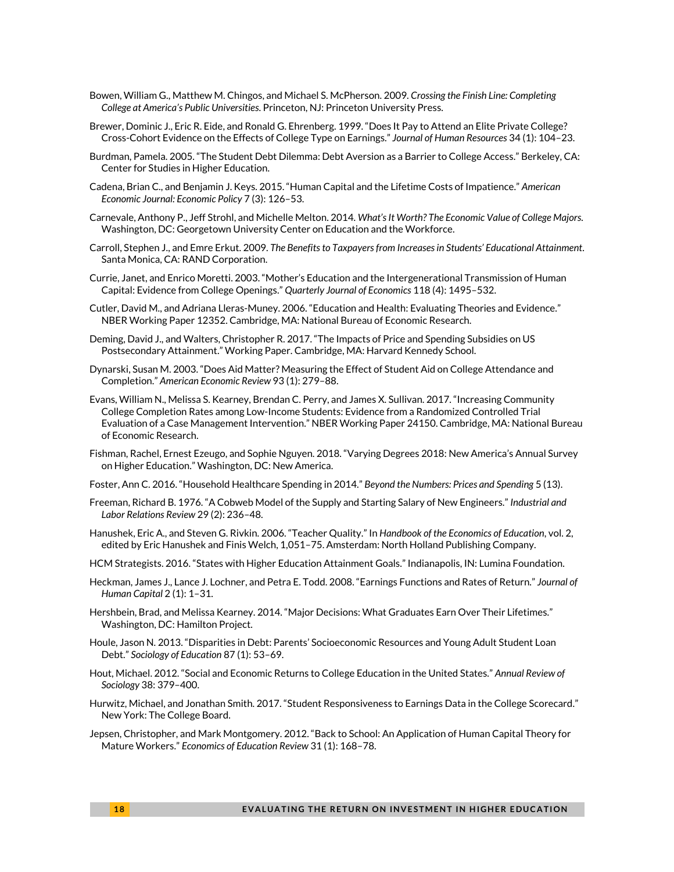- Bowen, William G., Matthew M. Chingos, and Michael S. McPherson. 2009. *Crossing the Finish Line: Completing College at America's Public Universities*. Princeton, NJ: Princeton University Press.
- Brewer, Dominic J., Eric R. Eide, and Ronald G. Ehrenberg. 1999. "Does It Pay to Attend an Elite Private College? Cross-Cohort Evidence on the Effects of College Type on Earnings." *Journal of Human Resources* 34 (1): 104–23.
- Burdman, Pamela. 2005. "The Student Debt Dilemma: Debt Aversion as a Barrier to College Access." Berkeley, CA: Center for Studies in Higher Education.
- Cadena, Brian C., and Benjamin J. Keys. 2015. "Human Capital and the Lifetime Costs of Impatience." *American Economic Journal: Economic Policy* 7 (3): 126–53.
- Carnevale, Anthony P., Jeff Strohl, and Michelle Melton. 2014. *What's It Worth? The Economic Value of College Majors.*  Washington, DC: Georgetown University Center on Education and the Workforce.
- Carroll, Stephen J., and Emre Erkut. 2009. *The Benefits to Taxpayers from Increases in Students' Educational Attainment*. Santa Monica, CA: RAND Corporation.
- Currie, Janet, and Enrico Moretti. 2003. "Mother's Education and the Intergenerational Transmission of Human Capital: Evidence from College Openings." *Quarterly Journal of Economics* 118 (4): 1495–532.
- Cutler, David M., and Adriana Lleras-Muney. 2006. "Education and Health: Evaluating Theories and Evidence." NBER Working Paper 12352. Cambridge, MA: National Bureau of Economic Research.
- Deming, David J., and Walters, Christopher R. 2017. "The Impacts of Price and Spending Subsidies on US Postsecondary Attainment." Working Paper. Cambridge, MA: Harvard Kennedy School.
- Dynarski, Susan M. 2003. "Does Aid Matter? Measuring the Effect of Student Aid on College Attendance and Completion." *American Economic Review* 93 (1): 279–88.
- Evans, William N., Melissa S. Kearney, Brendan C. Perry, and James X. Sullivan. 2017. "Increasing Community College Completion Rates among Low-Income Students: Evidence from a Randomized Controlled Trial Evaluation of a Case Management Intervention." NBER Working Paper 24150. Cambridge, MA: National Bureau of Economic Research.
- Fishman, Rachel, Ernest Ezeugo, and Sophie Nguyen. 2018. "Varying Degrees 2018: New America's Annual Survey on Higher Education." Washington, DC: New America.
- Foster, Ann C. 2016. "Household Healthcare Spending in 2014." *Beyond the Numbers: Prices and Spending* 5 (13).
- Freeman, Richard B. 1976. "A Cobweb Model of the Supply and Starting Salary of New Engineers." *Industrial and Labor Relations Review* 29 (2): 236–48.
- Hanushek, Eric A., and Steven G. Rivkin. 2006. "Teacher Quality." In *Handbook of the Economics of Education*, vol. 2, edited by Eric Hanushek and Finis Welch, 1,051–75. Amsterdam: North Holland Publishing Company.
- HCM Strategists. 2016. "States with Higher Education Attainment Goals." Indianapolis, IN: Lumina Foundation.
- Heckman, James J., Lance J. Lochner, and Petra E. Todd. 2008. "Earnings Functions and Rates of Return." *Journal of Human Capital* 2 (1): 1–31.
- Hershbein, Brad, and Melissa Kearney. 2014. "Major Decisions: What Graduates Earn Over Their Lifetimes." Washington, DC: Hamilton Project.
- Houle, Jason N. 2013. "Disparities in Debt: Parents' Socioeconomic Resources and Young Adult Student Loan Debt." *Sociology of Education* 87 (1): 53–69.
- Hout, Michael. 2012. "Social and Economic Returns to College Education in the United States." *Annual Review of Sociology* 38: 379–400.
- Hurwitz, Michael, and Jonathan Smith. 2017. "Student Responsiveness to Earnings Data in the College Scorecard." New York: The College Board.
- Jepsen, Christopher, and Mark Montgomery. 2012. "Back to School: An Application of Human Capital Theory for Mature Workers." *Economics of Education Review* 31 (1): 168–78.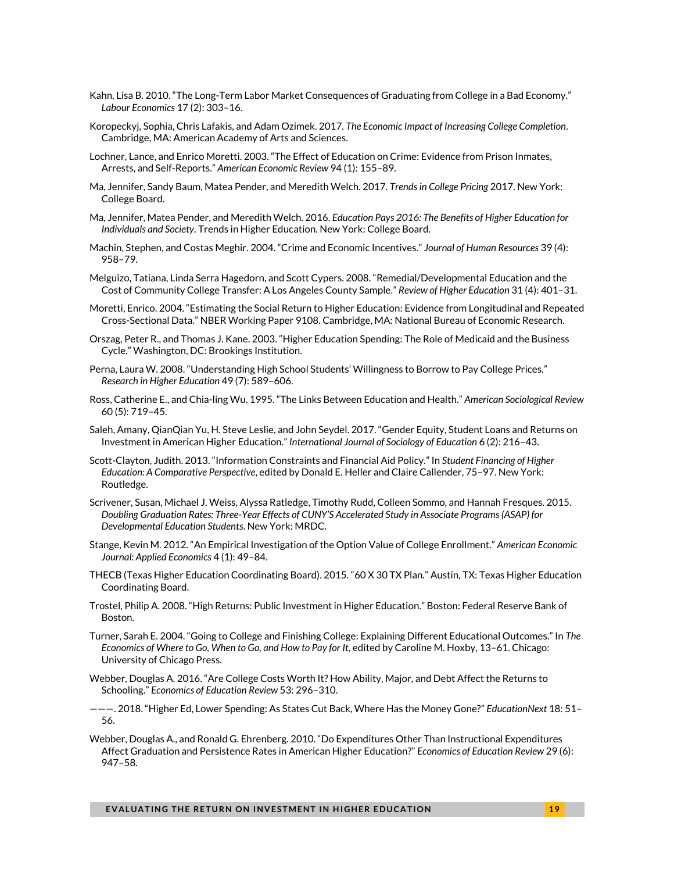- Kahn, Lisa B. 2010. "The Long-Term Labor Market Consequences of Graduating from College in a Bad Economy." *Labour Economics* 17 (2): 303–16.
- Koropeckyj, Sophia, Chris Lafakis, and Adam Ozimek. 2017. *The Economic Impact of Increasing College Completion*. Cambridge, MA: American Academy of Arts and Sciences.
- Lochner, Lance, and Enrico Moretti. 2003. "The Effect of Education on Crime: Evidence from Prison Inmates, Arrests, and Self-Reports." *American Economic Review* 94 (1): 155–89.
- Ma, Jennifer, Sandy Baum, Matea Pender, and Meredith Welch. 2017. *Trends in College Pricing* 2017. New York: College Board.
- Ma, Jennifer, Matea Pender, and Meredith Welch. 2016. *Education Pays 2016: The Benefits of Higher Education for Individuals and Society*. Trends in Higher Education. New York: College Board.
- Machin, Stephen, and Costas Meghir. 2004. "Crime and Economic Incentives." *Journal of Human Resources* 39 (4): 958–79.
- Melguizo, Tatiana, Linda Serra Hagedorn, and Scott Cypers. 2008. "Remedial/Developmental Education and the Cost of Community College Transfer: A Los Angeles County Sample." *Review of Higher Education* 31 (4): 401–31.
- Moretti, Enrico. 2004. "Estimating the Social Return to Higher Education: Evidence from Longitudinal and Repeated Cross-Sectional Data." NBER Working Paper 9108. Cambridge, MA: National Bureau of Economic Research.
- Orszag, Peter R., and Thomas J. Kane. 2003. "Higher Education Spending: The Role of Medicaid and the Business Cycle." Washington, DC: Brookings Institution.
- Perna, Laura W. 2008. "Understanding High School Students' Willingness to Borrow to Pay College Prices." *Research in Higher Education* 49 (7): 589–606.
- Ross, Catherine E., and Chia-ling Wu. 1995. "The Links Between Education and Health." *American Sociological Review*  60 (5): 719–45.
- Saleh, Amany, QianQian Yu, H. Steve Leslie, and John Seydel. 2017. "Gender Equity, Student Loans and Returns on Investment in American Higher Education." *International Journal of Sociology of Education* 6 (2): 216–43.
- Scott-Clayton, Judith. 2013. "Information Constraints and Financial Aid Policy." In *Student Financing of Higher Education: A Comparative Perspective*, edited by Donald E. Heller and Claire Callender, 75–97. New York: Routledge.
- Scrivener, Susan, Michael J. Weiss, Alyssa Ratledge, Timothy Rudd, Colleen Sommo, and Hannah Fresques. 2015. *Doubling Graduation Rates: Three-Year Effects of CUNY'S Accelerated Study in Associate Programs (ASAP) for Developmental Education Students*. New York: MRDC.
- Stange, Kevin M. 2012. "An Empirical Investigation of the Option Value of College Enrollment." *American Economic Journal: Applied Economics* 4 (1): 49–84.
- THECB (Texas Higher Education Coordinating Board). 2015. "60 X 30 TX Plan*.*" Austin, TX: Texas Higher Education Coordinating Board.
- Trostel, Philip A. 2008. "High Returns: Public Investment in Higher Education." Boston: Federal Reserve Bank of Boston.
- Turner, Sarah E. 2004. "Going to College and Finishing College: Explaining Different Educational Outcomes." In *The Economics of Where to Go, When to Go, and How to Pay for It*, edited by Caroline M. Hoxby, 13–61. Chicago: University of Chicago Press.
- Webber, Douglas A. 2016. "Are College Costs Worth It? How Ability, Major, and Debt Affect the Returns to Schooling." *Economics of Education Review* 53: 296–310.
- ———. 2018. "Higher Ed, Lower Spending: As States Cut Back, Where Has the Money Gone?" *EducationNext* 18: 51– 56.
- Webber, Douglas A., and Ronald G. Ehrenberg. 2010. "Do Expenditures Other Than Instructional Expenditures Affect Graduation and Persistence Rates in American Higher Education?" *Economics of Education Review* 29 (6): 947–58.